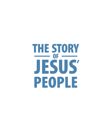# THE STORY JESUS  $\overline{\phantom{a}}$  of  $\overline{\phantom{a}}$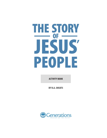# THE STORY JESUS<br>PEOPLE OF

**ACTIVITY BOOK**

BY R.A. SHEATS

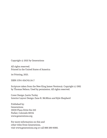Copyright © 2021 by Generations

All rights reserved. Printed in the United States of America

1st Printing, 2021.

ISBN: 978-1-954745-24-7

Scripture taken from the New King James Version®. Copyright © 1982 by Thomas Nelson. Used by permission. All rights reserved.

Cover Design: Justin Turley Interior Layout Design: Zane R. McMinn and Kyle Shepherd

Published by: **Generations** 19039 Plaza Drive Ste 210 Parker, Colorado 80134 www.generations.org

For more information on this and other titles from Generations, visit www.generations.org or call 888-389-9080.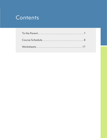# Contents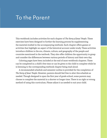# To the Parent

This workbook includes activities for each chapter of *The Story of Jesus' People*. These exercises have been designed to further the learning process by supplementing the material studied in the accompanying textbook. Each chapter offers games or activities that highlight an aspect of the historical account under study. These activities introduce children to the era, climate, culture, and geography of the people and countries mentioned in the textbook. They also offer children the opportunity to grasp and consider the differences between various periods of history and their own day.

Coloring pages have been included at the end of most workbook chapters. These can be completed in a child's free time or can be given to the child to complete while he is listening to the corresponding textbook chapter being read aloud.

A recommended schedule and semester outline is provided for the completion of *The Story of Jesus' People*. However, parents should feel free to alter this schedule as needed. Though designed to span the first year of grade school, some parents may choose to complete the material in a shorter or longer time. There is no right or wrong method of using this curriculum. Please adjust it as needed to suit your child.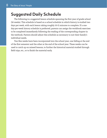## **Suggested Daily Schedule**

The following is a suggested lesson schedule spanning the first year of grade school (36 weeks). This schedule is based on a school schedule in which history is studied two days per week, with each lesson taking roughly 10-15 minutes to complete. If a oneday-per-week history schedule is preferred, parents can assign the workbook exercises to be completed immediately following the reading of the corresponding chapter in the textbook. Parents should adjust this schedule as necessary to suit their family's individual needs.

Two flex weeks have been incorporated into the school year, one falling at the end of the first semester and the other at the end of the school year. These weeks can be used to catch up on missed lessons, to further the historical material studied through field trips, etc., or to finish the material early.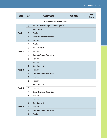| <b>Date</b>       | <b>Day</b>     | <b>Assignment</b>                           | <b>Due Date</b> | $\mathbf{v}$ | P/F<br><b>Grade</b> |
|-------------------|----------------|---------------------------------------------|-----------------|--------------|---------------------|
|                   |                | First Semester-First Quarter                |                 |              |                     |
|                   | $\mathbf{1}$   | Read and discuss Chapter 1 with your parent |                 |              |                     |
|                   | $\overline{2}$ | <b>Read Chapter 1</b>                       |                 |              |                     |
| Week 1            | 3              | <b>Flex Day</b>                             |                 |              |                     |
|                   | $\overline{4}$ | <b>Complete Chapter 1 Activities</b>        |                 |              |                     |
|                   | 5              | <b>Flex Day</b>                             |                 |              |                     |
|                   | 1              | <b>Flex Day</b>                             |                 |              |                     |
|                   | $\overline{2}$ | <b>Read Chapter 2</b>                       |                 |              |                     |
| Week <sub>2</sub> | 3              | <b>Flex Day</b>                             |                 |              |                     |
|                   | 4              | <b>Complete Chapter 2 Activities</b>        |                 |              |                     |
|                   | 5              | <b>Flex Day</b>                             |                 |              |                     |
|                   | $\mathbf{1}$   | <b>Flex Day</b>                             |                 |              |                     |
|                   | $\overline{2}$ | <b>Read Chapter 3</b>                       |                 |              |                     |
| Week <sub>3</sub> | 3              | <b>Flex Day</b>                             |                 |              |                     |
|                   | $\overline{4}$ | <b>Complete Chapter 3 Activities</b>        |                 |              |                     |
|                   | 5              | <b>Flex Day</b>                             |                 |              |                     |
|                   | 1              | <b>Flex Day</b>                             |                 |              |                     |
|                   | $\overline{2}$ | <b>Read Chapter 4</b>                       |                 |              |                     |
| Week 4            | 3              | <b>Flex Day</b>                             |                 |              |                     |
|                   | 4              | <b>Complete Chapter 4 Activities</b>        |                 |              |                     |
|                   | 5              | <b>Flex Day</b>                             |                 |              |                     |
|                   | $\mathbf{1}$   | <b>Flex Day</b>                             |                 |              |                     |
|                   | $\overline{2}$ | <b>Read Chapter 5</b>                       |                 |              |                     |
| Week <sub>5</sub> | 3              | <b>Flex Day</b>                             |                 |              |                     |
|                   | $\overline{4}$ | <b>Complete Chapter 5 Activities</b>        |                 |              |                     |
|                   | $5\phantom{1}$ | <b>Flex Day</b>                             |                 |              |                     |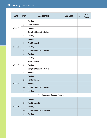#### 10 The Story of Jesus' People

Flex Day

| <b>Date</b>       | <b>Day</b>     | <b>Assignment</b>                     | <b>Due Date</b> | $\checkmark$ | P/F<br>Grade |
|-------------------|----------------|---------------------------------------|-----------------|--------------|--------------|
|                   | $\mathbf{1}$   | <b>Flex Day</b>                       |                 |              |              |
|                   | $\overline{2}$ | <b>Read Chapter 6</b>                 |                 |              |              |
| Week 6            | 3              | <b>Flex Day</b>                       |                 |              |              |
|                   | 4              | <b>Complete Chapter 6 Activities</b>  |                 |              |              |
|                   | 5              | <b>Flex Day</b>                       |                 |              |              |
|                   | $\mathbf{1}$   | <b>Flex Day</b>                       |                 |              |              |
|                   | $\overline{2}$ | <b>Read Chapter 7</b>                 |                 |              |              |
| Week 7            | 3              | <b>Flex Day</b>                       |                 |              |              |
|                   | $\overline{4}$ | <b>Complete Chapter 7 Activities</b>  |                 |              |              |
|                   | 5              | <b>Flex Day</b>                       |                 |              |              |
|                   | $\mathbf{1}$   | <b>Flex Day</b>                       |                 |              |              |
|                   | $\overline{2}$ | <b>Read Chapter 8</b>                 |                 |              |              |
| Week 8            | 3              | <b>Flex Day</b>                       |                 |              |              |
|                   | $\overline{4}$ | <b>Complete Chapter 8 Activities</b>  |                 |              |              |
|                   | 5              | <b>Flex Day</b>                       |                 |              |              |
|                   | $\mathbf{1}$   | <b>Flex Day</b>                       |                 |              |              |
|                   | $\overline{2}$ | <b>Read Chapter 9</b>                 |                 |              |              |
| Week <sub>9</sub> | 3              | <b>Flex Day</b>                       |                 |              |              |
|                   | $\overline{4}$ | <b>Complete Chapter 9 Activities</b>  |                 |              |              |
|                   | $5\phantom{1}$ | <b>Flex Day</b>                       |                 |              |              |
|                   |                | <b>First Semester-Second Quarter</b>  |                 |              |              |
|                   | $\mathbf{1}$   | <b>Flex Day</b>                       |                 |              |              |
|                   | $\overline{2}$ | <b>Read Chapter 10</b>                |                 |              |              |
| Week 1            | 3              | <b>Flex Day</b>                       |                 |              |              |
|                   | $\overline{4}$ | <b>Complete Chapter 10 Activities</b> |                 |              |              |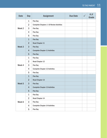| <b>Date</b>       | <b>Day</b>     | <b>Assignment</b>                               | <b>Due Date</b> | $\checkmark$ | P/F<br>Grade |
|-------------------|----------------|-------------------------------------------------|-----------------|--------------|--------------|
|                   | $\mathbf{1}$   | <b>Flex Day</b>                                 |                 |              |              |
|                   | $\overline{2}$ | <b>Complete Chapters 1-10 Review Activities</b> |                 |              |              |
| Week <sub>2</sub> | 3              | <b>Flex Day</b>                                 |                 |              |              |
|                   | 4              | <b>Flex Day</b>                                 |                 |              |              |
|                   | 5              | <b>Flex Day</b>                                 |                 |              |              |
|                   | $\mathbf{1}$   | <b>Flex Day</b>                                 |                 |              |              |
|                   | $\overline{2}$ | <b>Read Chapter 11</b>                          |                 |              |              |
| Week <sub>3</sub> | 3              | <b>Flex Day</b>                                 |                 |              |              |
|                   | 4              | <b>Complete Chapter 11 Activities</b>           |                 |              |              |
|                   | $5\phantom{1}$ | <b>Flex Day</b>                                 |                 |              |              |
|                   | 1              | <b>Flex Day</b>                                 |                 |              |              |
|                   | $\overline{2}$ | <b>Read Chapter 12</b>                          |                 |              |              |
| Week 4            | 3              | <b>Flex Day</b>                                 |                 |              |              |
|                   | 4              | <b>Complete Chapter 12 Activities</b>           |                 |              |              |
|                   | 5              | <b>Flex Day</b>                                 |                 |              |              |
|                   | $\mathbf{1}$   | <b>Flex Day</b>                                 |                 |              |              |
|                   | $\overline{2}$ | <b>Read Chapter 13</b>                          |                 |              |              |
| Week <sub>5</sub> | 3              | <b>Flex Day</b>                                 |                 |              |              |
|                   | $\overline{4}$ | <b>Complete Chapter 13 Activities</b>           |                 |              |              |
|                   | $\overline{5}$ | <b>Flex Day</b>                                 |                 |              |              |
|                   | $\mathbf{1}$   | <b>Flex Day</b>                                 |                 |              |              |
|                   | $\overline{2}$ | <b>Read Chapter 14</b>                          |                 |              |              |
| Week 6            | 3              | <b>Flex Day</b>                                 |                 |              |              |
|                   | $\overline{4}$ | <b>Complete Chapter 14 Activities</b>           |                 |              |              |
|                   | 5              | <b>Flex Day</b>                                 |                 |              |              |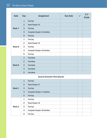#### $\overline{12}$  The Story of Jesus' People

| <b>Date</b>       | <b>Day</b>     | <b>Assignment</b>                     | <b>Due Date</b> | $\checkmark$ | P/F<br>Grade |
|-------------------|----------------|---------------------------------------|-----------------|--------------|--------------|
|                   | $\mathbf{1}$   | <b>Flex Day</b>                       |                 |              |              |
|                   | $\overline{2}$ | <b>Read Chapter 15</b>                |                 |              |              |
| Week 7            | 3              | <b>Flex Day</b>                       |                 |              |              |
|                   | $\overline{4}$ | <b>Complete Chapter 15 Activities</b> |                 |              |              |
|                   | 5              | <b>Flex Day</b>                       |                 |              |              |
|                   | $\mathbf{1}$   | <b>Flex Day</b>                       |                 |              |              |
|                   | $\overline{2}$ | <b>Read Chapter 16</b>                |                 |              |              |
| Week 8            | 3              | <b>Flex Day</b>                       |                 |              |              |
|                   | 4              | <b>Complete Chapter 16 Activities</b> |                 |              |              |
|                   | 5              | <b>Flex Day</b>                       |                 |              |              |
|                   | $\mathbf{1}$   | <b>Flex Week</b>                      |                 |              |              |
|                   | $\overline{2}$ | <b>Flex Week</b>                      |                 |              |              |
| Week <sub>9</sub> | 3              | <b>Flex Week</b>                      |                 |              |              |
|                   | $\overline{4}$ | <b>Flex Week</b>                      |                 |              |              |
|                   | 5              | <b>Flex Week</b>                      |                 |              |              |
|                   |                | <b>Second Semester-Third Quarter</b>  |                 |              |              |
|                   | $\mathbf{1}$   | <b>Flex Day</b>                       |                 |              |              |
|                   | $\overline{2}$ | <b>Read Chapter 17</b>                |                 |              |              |
| Week 1            | 3              | <b>Flex Day</b>                       |                 |              |              |
|                   | $\overline{4}$ | <b>Complete Chapter 17 Activities</b> |                 |              |              |
|                   | $5\phantom{1}$ | <b>Flex Day</b>                       |                 |              |              |
|                   | $\mathbf{1}$   | <b>Flex Day</b>                       |                 |              |              |
|                   | $\overline{2}$ | <b>Read Chapter 18</b>                |                 |              |              |
| Week <sub>2</sub> | 3              | <b>Flex Day</b>                       |                 |              |              |
|                   | 4              | <b>Complete Chapter 18 Activities</b> |                 |              |              |
|                   | 5              | <b>Flex Day</b>                       |                 |              |              |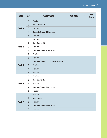| <b>Date</b>       | <b>Day</b>     | <b>Assignment</b>                                | <b>Due Date</b> | P/F<br><b>Grade</b> |
|-------------------|----------------|--------------------------------------------------|-----------------|---------------------|
|                   | $\mathbf{1}$   | <b>Flex Day</b>                                  |                 |                     |
| Week <sub>3</sub> | $\overline{2}$ | <b>Read Chapter 19</b>                           |                 |                     |
|                   | 3              | <b>Flex Day</b>                                  |                 |                     |
|                   | 4              | <b>Complete Chapter 19 Activities</b>            |                 |                     |
|                   | 5              | <b>Flex Day</b>                                  |                 |                     |
|                   | $\mathbf{1}$   | Flex Day                                         |                 |                     |
|                   | $\overline{2}$ | <b>Read Chapter 20</b>                           |                 |                     |
| Week 4            | 3              | <b>Flex Day</b>                                  |                 |                     |
|                   | 4              | <b>Complete Chapter 20 Activities</b>            |                 |                     |
|                   | 5              | <b>Flex Day</b>                                  |                 |                     |
|                   | $\mathbf{1}$   | <b>Flex Day</b>                                  |                 |                     |
|                   | $\overline{2}$ | <b>Complete Chapters 11-20 Review Activities</b> |                 |                     |
| Week <sub>5</sub> | 3              | <b>Flex Day</b>                                  |                 |                     |
|                   | $\overline{4}$ | <b>Flex Day</b>                                  |                 |                     |
|                   | 5              | <b>Flex Day</b>                                  |                 |                     |
|                   | $\mathbf{1}$   | <b>Flex Day</b>                                  |                 |                     |
|                   | $\overline{2}$ | <b>Read Chapter 21</b>                           |                 |                     |
| Week 6            | 3              | <b>Flex Day</b>                                  |                 |                     |
|                   | 4              | <b>Complete Chapter 21 Activities</b>            |                 |                     |
|                   | 5              | <b>Flex Day</b>                                  |                 |                     |
|                   | $\mathbf{1}$   | <b>Flex Day</b>                                  |                 |                     |
|                   | $\overline{2}$ | <b>Read Chapter 22</b>                           |                 |                     |
| Week 7            | 3              | <b>Flex Day</b>                                  |                 |                     |
|                   | $\overline{4}$ | <b>Complete Chapter 22 Activities</b>            |                 |                     |
|                   | $5\phantom{1}$ | <b>Flex Day</b>                                  |                 |                     |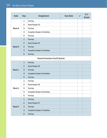## 14 The Story of Jesus' People

| <b>Date</b>                           | <b>Day</b>     | <b>Assignment</b>                     | <b>Due Date</b> | $\checkmark$ | P/F<br><b>Grade</b> |
|---------------------------------------|----------------|---------------------------------------|-----------------|--------------|---------------------|
|                                       | $\mathbf{1}$   | <b>Flex Day</b>                       |                 |              |                     |
|                                       | $\overline{2}$ | <b>Read Chapter 23</b>                |                 |              |                     |
| Week 8                                | 3              | <b>Flex Day</b>                       |                 |              |                     |
|                                       | 4              | <b>Complete Chapter 23 Activities</b> |                 |              |                     |
|                                       | 5              | <b>Flex Day</b>                       |                 |              |                     |
|                                       | $\mathbf{1}$   | <b>Flex Day</b>                       |                 |              |                     |
|                                       | $\overline{2}$ | <b>Read Chapter 24</b>                |                 |              |                     |
| Week <sub>9</sub>                     | 3              | <b>Flex Day</b>                       |                 |              |                     |
|                                       | $\overline{4}$ | <b>Complete Chapter 24 Activities</b> |                 |              |                     |
|                                       | 5              | <b>Flex Day</b>                       |                 |              |                     |
| <b>Second Semester-Fourth Quarter</b> |                |                                       |                 |              |                     |
|                                       | $\mathbf{1}$   | <b>Flex Day</b>                       |                 |              |                     |
|                                       | $\overline{2}$ | <b>Read Chapter 25</b>                |                 |              |                     |

| Week 1            | $\overline{2}$ | <b>Read Chapter 25</b>                |  |  |
|-------------------|----------------|---------------------------------------|--|--|
|                   | $\overline{3}$ | <b>Flex Day</b>                       |  |  |
|                   | $\overline{4}$ | <b>Complete Chapter 25 Activities</b> |  |  |
|                   | $5\phantom{1}$ | <b>Flex Day</b>                       |  |  |
|                   | $\mathbf{1}$   | <b>Flex Day</b>                       |  |  |
| Week <sub>2</sub> | $\overline{2}$ | <b>Read Chapter 26</b>                |  |  |
|                   | 3              | <b>Flex Day</b>                       |  |  |
|                   | 4              | <b>Complete Chapter 26 Activities</b> |  |  |
|                   | 5              | <b>Flex Day</b>                       |  |  |
|                   | $\mathbf{1}$   | <b>Flex Day</b>                       |  |  |
| Week <sub>3</sub> | $\overline{2}$ | <b>Read Chapter 27</b>                |  |  |
|                   | $\overline{3}$ | <b>Flex Day</b>                       |  |  |
|                   | $\overline{4}$ | <b>Complete Chapter 27 Activities</b> |  |  |
|                   | $5\phantom{1}$ | <b>Flex Day</b>                       |  |  |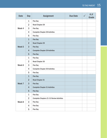| <b>Date</b>       | <b>Day</b>              | <b>Assignment</b>                                | <b>Due Date</b> | $\mathbf{v}$ | P/F<br>Grade |
|-------------------|-------------------------|--------------------------------------------------|-----------------|--------------|--------------|
|                   | $\mathbf{1}$            | <b>Flex Day</b>                                  |                 |              |              |
|                   | $\overline{2}$          | <b>Read Chapter 28</b>                           |                 |              |              |
| Week 4            | 3                       | <b>Flex Day</b>                                  |                 |              |              |
|                   | 4                       | <b>Complete Chapter 28 Activities</b>            |                 |              |              |
|                   | 5                       | <b>Flex Day</b>                                  |                 |              |              |
|                   | $\mathbf{1}$            | <b>Flex Day</b>                                  |                 |              |              |
|                   | $\overline{2}$          | <b>Read Chapter 29</b>                           |                 |              |              |
| Week <sub>5</sub> | 3                       | <b>Flex Day</b>                                  |                 |              |              |
|                   | 4                       | <b>Complete Chapter 29 Activities</b>            |                 |              |              |
|                   | 5                       | <b>Flex Day</b>                                  |                 |              |              |
|                   | $\mathbf{1}$            | <b>Flex Day</b>                                  |                 |              |              |
|                   | $\overline{2}$          | <b>Read Chapter 30</b>                           |                 |              |              |
| Week 6            | 3                       | <b>Flex Day</b>                                  |                 |              |              |
|                   | 4                       | <b>Complete Chapter 30 Activities</b>            |                 |              |              |
|                   | 5                       | <b>Flex Day</b>                                  |                 |              |              |
|                   | $\mathbf{1}$            | <b>Flex Day</b>                                  |                 |              |              |
|                   | $\overline{2}$          | <b>Read Chapter 31</b>                           |                 |              |              |
| Week 7            | 3                       | <b>Flex Day</b>                                  |                 |              |              |
|                   | 4                       | <b>Complete Chapter 31 Activities</b>            |                 |              |              |
|                   | 5                       | <b>Flex Day</b>                                  |                 |              |              |
|                   | $\mathbf{1}$            | <b>Flex Day</b>                                  |                 |              |              |
|                   | $\overline{2}$          | <b>Complete Chapters 21-31 Review Activities</b> |                 |              |              |
| Week 8            | 3                       | <b>Flex Day</b>                                  |                 |              |              |
|                   | $\overline{\mathbf{4}}$ | <b>Flex Day</b>                                  |                 |              |              |
|                   | 5                       | <b>Flex Day</b>                                  |                 |              |              |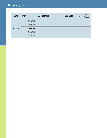#### 16 The Story of Jesus' People

| <b>Date</b> | <b>Day</b>     | <b>Assignment</b> | <b>Due Date</b> | P/F<br>Grade |
|-------------|----------------|-------------------|-----------------|--------------|
| Week 9      | 1              | <b>Flex Week</b>  |                 |              |
|             | $\overline{2}$ | <b>Flex Week</b>  |                 |              |
|             | 3              | <b>Flex Week</b>  |                 |              |
|             | $\overline{4}$ | <b>Flex Week</b>  |                 |              |
|             | 5              | <b>Flex Week</b>  |                 |              |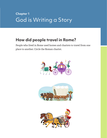# **Chapter 1** God is Writing a Story

## **How did people travel in Rome?**

People who lived in Rome used horses and chariots to travel from one place to another. Circle the Roman chariot.





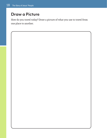# **Draw a Picture**

How do you travel today? Draw a picture of what you use to travel from one place to another.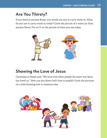# **Are You Thirsty?**

If you lived in ancient Rome, you would use jars to carry water in. What do you use to carry water in today? Circle the picture of a water jar from ancient Rome. Put an X on the picture of what you use today.



# **Showing the Love of Jesus**

Christians in Rome said, "We must love other people the same way Jesus has loved us." How can you show God's love to people? Circle the pictures of a child showing love to someone else.

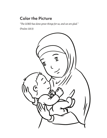## **Color the Picture**

*"The LORD has done great things for us, and we are glad."*

(Psalm 126:3)

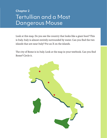# **Chapter 2** Tertullian and a Most Dangerous Mouse

Look at this map. Do you see the country that looks like a giant boot? This is Italy. Italy is almost entirely surrounded by water. Can you find the two islands that are near Italy? Put an X on the islands.

The city of Rome is in Italy. Look at the map in your textbook. Can you find Rome? Circle it.

![](_page_22_Picture_3.jpeg)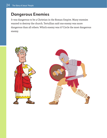#### **Dangerous Enemies**

It was dangerous to be a Christian in the Roman Empire. Many enemies wanted to destroy the church. Tertullian said one enemy was more dangerous than all others. Which enemy was it? Circle the most dangerous enemy.

![](_page_23_Picture_3.jpeg)

![](_page_23_Picture_4.jpeg)